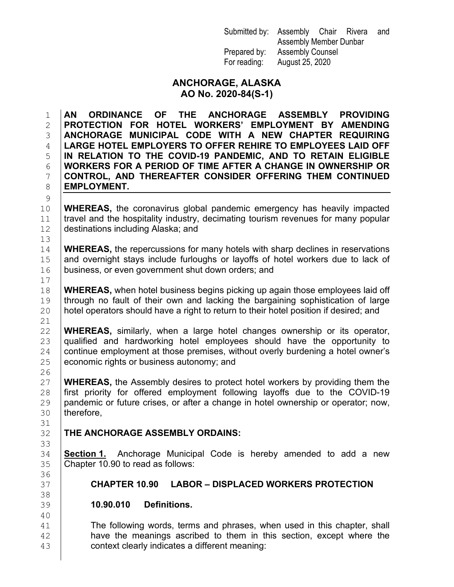| Submitted by: Assembly Chair Rivera |                         |  |  | and |
|-------------------------------------|-------------------------|--|--|-----|
|                                     | Assembly Member Dunbar  |  |  |     |
| Prepared by:                        | <b>Assembly Counsel</b> |  |  |     |
| For reading:                        | August 25, 2020         |  |  |     |

#### **ANCHORAGE, ALASKA AO No. 2020-84(S-1)**

 **AN ORDINANCE OF THE ANCHORAGE ASSEMBLY PROVIDING PROTECTION FOR HOTEL WORKERS' EMPLOYMENT BY AMENDING ANCHORAGE MUNICIPAL CODE WITH A NEW CHAPTER REQUIRING LARGE HOTEL EMPLOYERS TO OFFER REHIRE TO EMPLOYEES LAID OFF IN RELATION TO THE COVID-19 PANDEMIC, AND TO RETAIN ELIGIBLE WORKERS FOR A PERIOD OF TIME AFTER A CHANGE IN OWNERSHIP OR CONTROL, AND THEREAFTER CONSIDER OFFERING THEM CONTINUED EMPLOYMENT.** 

**WHEREAS,** the coronavirus global pandemic emergency has heavily impacted 11 travel and the hospitality industry, decimating tourism revenues for many popular destinations including Alaska: and destinations including Alaska; and

14 **WHEREAS**, the repercussions for many hotels with sharp declines in reservations 15 and overnight stays include furloughs or layoffs of hotel workers due to lack of 15 and overnight stays include furloughs or layoffs of hotel workers due to lack of  $16$  business, or even government shut down orders; and business, or even government shut down orders; and

18 **WHEREAS,** when hotel business begins picking up again those employees laid off <br>19 **through no fault of their own and lacking the bargaining sophistication of large** 19 through no fault of their own and lacking the bargaining sophistication of large<br>20 hotel operators should have a right to return to their hotel position if desired: and hotel operators should have a right to return to their hotel position if desired; and

22 **WHEREAS,** similarly, when a large hotel changes ownership or its operator, 23 qualified and hardworking hotel employees should have the opportunity to  $24$  continue employment at those premises, without overly burdening a hotel owner's 24  $\Big|$  continue employment at those premises, without overly burdening a hotel owner's  $25$  economic rights or business autonomy: and economic rights or business autonomy; and

27 **WHEREAS,** the Assembly desires to protect hotel workers by providing them the<br>28 Ifirst priority for offered employment following lavoffs due to the COVID-19 28 first priority for offered employment following layoffs due to the COVID-19<br>29 pandemic or future crises or after a change in hotel ownership or operator: now. 29 pandemic or future crises, or after a change in hotel ownership or operator; now,  $30$  therefore. therefore.

**THE ANCHORAGE ASSEMBLY ORDAINS:** 

 $\frac{9}{10}$ 

13<br>14

 $\frac{17}{18}$ 

 $\frac{21}{22}$ 

26

31<br>32

33<br>34

36<br>37

38<br>39

40

34 **Section 1.** Anchorage Municipal Code is hereby amended to add a new 35 **Chapter 10.90** to read as follows: Chapter 10.90 to read as follows:

# 37 **CHAPTER 10.90 LABOR – DISPLACED WORKERS PROTECTION**

39 **10.90.010 Definitions.**

41 The following words, terms and phrases, when used in this chapter, shall  $\frac{42}{43}$  have the meanings ascribed to them in this section, except where the context clearly indicates a different meaning: context clearly indicates a different meaning: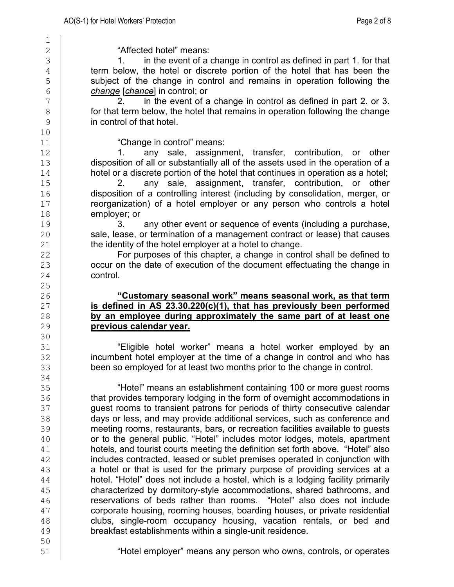$\frac{1}{2}$ 

10<br>11

 $\frac{25}{26}$ 

30<br>31

34<br>35

 $\begin{array}{c|c}\n2 \\
3\n\end{array}$  "Affected hotel" means:<br>3 in the event of a change in control as defined in part 1. for that <sup>4</sup> term below, the hotel or discrete portion of the hotel that has been the<br>5 subject of the change in control and remains in operation following the 5 subject of the change in control and remains in operation following the change learned in control: or 6 *change* [*chance*] in control; or

 $\begin{array}{c|c} 7 \\ 8 \end{array}$  for that term below, the hotel that remains in operation following the change  $\begin{array}{c|c} 8 & \text{for that term below, the hotel that remains in operation following the change} \\ \hline 9 & \text{in control of that hotel.} \end{array}$ in control of that hotel.

"Change in control" means:<br>1. anv sale. assignm

12 1. any sale, assignment, transfer, contribution, or other<br>13 disposition of all or substantially all of the assets used in the operation of a 13 disposition of all or substantially all of the assets used in the operation of a<br>14 hotel or a discrete portion of the hotel that continues in operation as a hotel; 14 hotel or a discrete portion of the hotel that continues in operation as a hotel;

15 2. any sale, assignment, transfer, contribution, or other<br>16 disposition of a controlling interest (including by consolidation merger or 16 disposition of a controlling interest (including by consolidation, merger, or<br>17 decreasing to a hotel emplover or any person who controls a hotel 17 reorganization) of a hotel employer or any person who controls a hotel<br>18 employer: or  $\begin{array}{c|c}\n 18 & \text{emplayer; or} \\
 19 & 3.\n\end{array}$ 

19 3. any other event or sequence of events (including a purchase,<br>20 sale, lease, or termination of a management contract or lease) that causes 20 sale, lease, or termination of a management contract or lease) that causes<br>21 the identity of the hotel employer at a hotel to change. the identity of the hotel employer at a hotel to change.

22 For purposes of this chapter, a change in control shall be defined to<br>23 **COCCULT OF COCCULTS** occur on the date of execution of the document effectuating the change in occur on the date of execution of the document effectuating the change in 24 **control.** 

#### 26 **"Customary seasonal work" means seasonal work, as that term is defined in AS 23.30.220(c)(1), that has previously been performed**<br>28 **by an employee during approximately the same part of at least one** 28 **by an employee during approximately the same part of at least one**  $29$ <br>29 **previous calendar year.** 29 **previous calendar year.**

"Eligible hotel worker" means a hotel worker employed by an 32 incumbent hotel employer at the time of a change in control and who has<br>33 been so emploved for at least two months prior to the change in control. been so employed for at least two months prior to the change in control.

35 [46] "Hotel" means an establishment containing 100 or more guest rooms<br>36 [46] that provides temporary lodging in the form of overnight accommodations in 36 **that provides temporary lodging in the form of overnight accommodations in**<br>37 **the direct overset of transient patrons for periods of thirty consecutive calendar** 37 guest rooms to transient patrons for periods of thirty consecutive calendar<br>38 days or less, and may provide additional services, such as conference and 38 days or less, and may provide additional services, such as conference and<br>39 meeting rooms, restaurants, bars, or recreation facilities available to quests 39 meeting rooms, restaurants, bars, or recreation facilities available to guests<br>40 or to the general public. "Hotel" includes motor lodges, motels, apartment 40 **or to the general public. "Hotel" includes motor lodges, motels, apartment**<br>41 **hotels, and tourist courts meeting the definition set forth above. "Hotel" also** hotels, and tourist courts meeting the definition set forth above. "Hotel" also 42 includes contracted, leased or sublet premises operated in conjunction with<br>43 a hotel or that is used for the primary purpose of providing services at a a hotel or that is used for the primary purpose of providing services at a 44 hotel. "Hotel" does not include a hostel, which is a lodging facility primarily<br>45 hote ratacterized by dormitory-style accommodations, shared bathrooms, and 45 characterized by dormitory-style accommodations, shared bathrooms, and<br>46 **conservations of beds rather than rooms.** "Hotel" also does not include 46 reservations of beds rather than rooms. "Hotel" also does not include 47 corporate housing, rooming houses, boarding houses, or private residential<br>48 clubs, single-room occupancy housing, vacation rentals, or bed and 48 clubs, single-room occupancy housing, vacation rentals, or bed and<br>49 breakfast establishments within a single-unit residence. breakfast establishments within a single-unit residence.

50<br>51

51 "Hotel employer" means any person who owns, controls, or operates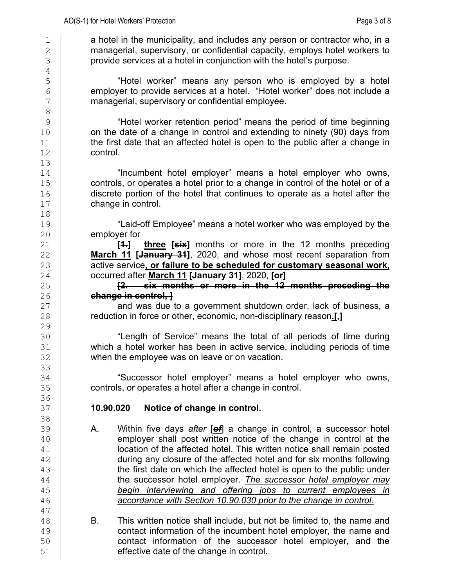1 a hotel in the municipality, and includes any person or contractor who, in a<br>2 managerial, supervisory, or confidential capacity, employs hotel workers to 2 managerial, supervisory, or confidential capacity, employs hotel workers to<br>3 provide services at a hotel in coniunction with the hotel's purpose. provide services at a hotel in conjunction with the hotel's purpose.

5 [ "Hotel worker" means any person who is employed by a hotel<br>6 **1 | employer to provide services at a hotel**. "Hotel worker" does not include a 6 employer to provide services at a hotel. "Hotel worker" does not include a managerial. supervisory or confidential employee. managerial, supervisory or confidential employee.

9 "Hotel worker retention period" means the period of time beginning 10 on the date of a change in control and extending to ninety (90) days from<br>11 the first date that an affected hotel is open to the public after a change in 11 the first date that an affected hotel is open to the public after a change in<br>12 control. control.

14 [14] "Incumbent hotel employer" means a hotel employer who owns,<br>15 [15] controls, or operates a hotel prior to a change in control of the hotel or of a 15 controls, or operates a hotel prior to a change in control of the hotel or of a<br>16 discrete portion of the hotel that continues to operate as a hotel after the 16 discrete portion of the hotel that continues to operate as a hotel after the change in control. change in control.

19 **"Laid-off Employee" means a hotel worker who was employed by the<br>20 <b>Employer for** 

 $\begin{array}{c|c} 20 & \text{emplayer for} \\ 21 & \text{I} \end{array}$ **three [six]** months or more in the 12 months preceding 22 **March 11 [January 31]**, 2020, and whose most recent separation from<br>23 **March 23** active service, or failure to be scheduled for customary seasonal work, active service, or failure to be scheduled for customary seasonal work, 24 occurred after **March 11 [January 31]**, 2020, **[or]**

25 **[2. six months or more in the 12 months preceding the**  26 **change in control, ]**<br>27 **change in control, ]**<br>and was due t

27 and was due to a government shutdown order, lack of business, a reduction in force or other, economic, non-disciplinary reason.[1] 28 reduction in force or other, economic, non-disciplinary reason**.[,]**

30 "Length of Service" means the total of all periods of time during which a hotel worker has been in active service, including periods of time 32 when the employee was on leave or on vacation.

34 [Successor hotel employer" means a hotel employer who owns,<br>35 [controls, or operates a hotel after a change in control. controls, or operates a hotel after a change in control.

### 37 **10.90.020 Notice of change in control.**

- 39 A. Within five days *after* [*of*] a change in control, a successor hotel 40 employer shall post written notice of the change in control at the 41 employer shall remain posted<br>41 **blue of the affected hotel. This written notice shall remain posted** location of the affected hotel. This written notice shall remain posted  $\frac{42}{43}$  during any closure of the affected hotel and for six months following<br> $\frac{43}{43}$ the first date on which the affected hotel is open to the public under 44 the successor hotel employer. *The successor hotel employer may*  45 *begin interviewing and offering jobs to current employees in*  accordance with Section 10.90.030 prior to the change in control.
- 48 B. This written notice shall include, but not be limited to, the name and <br>49 contact information of the incumbent hotel employer, the name and 49 contact information of the incumbent hotel employer, the name and<br>50 contact information of the successor hotel employer, and the 50 contact information of the successor hotel employer, and the successor hotel employer, and the 51 effective date of the change in control.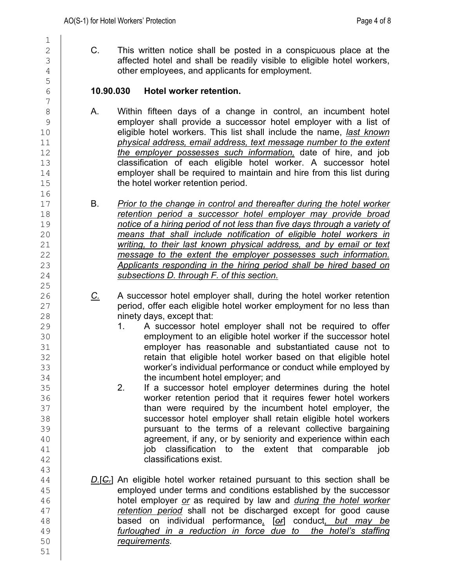$\frac{1}{2}$ 5  $\frac{7}{8}$ 16<br>17  $\frac{25}{26}$ 43

51

2 C. This written notice shall be posted in a conspicuous place at the 3<br>3 affected hotel and shall be readily visible to eligible hotel workers. affected hotel and shall be readily visible to eligible hotel workers, 4 **deciries 1** other employees, and applicants for employment.

### 6 **10.90.030 Hotel worker retention.**

- 8 A. Within fifteen days of a change in control, an incumbent hotel<br>8 emplover shall provide a successor hotel emplover with a list of 9 employer shall provide a successor hotel employer with a list of<br>10 **eligible hotel workers. This list shall include the name**. *last known* 10 eligible hotel workers. This list shall include the name, *last known* 11 *physical address, email address, text message number to the extent* 12 **the employer possesses such information**, date of hire, and job classification of each eligible hotel worker. A successor hotel  $\begin{array}{c|c} 13 & \text{} & \text{classification of each eligible hotel worker. A successor hotel} \ 14 & \text{emplayer shall be required to maintain and hire from this list during} \end{array}$ 14 employer shall be required to maintain and hire from this list during<br>15 the hotel worker retention period. the hotel worker retention period.
- 17 B. *Prior to the change in control and thereafter during the hotel worker*  18 *retention period a successor hotel employer may provide broad*<br>19 *notice of a hiring period of not less than five days through a variety of* 19 *notice of a hiring period of not less than five days through a variety of*  20 *means that shall include notification of eligible hotel workers in*  writing, to their last known physical address, and by email or text 22 *message to the extent the employer possesses such information.*  23 *Applicants responding in the hiring period shall be hired based on*  24 *subsections D. through F. of this section.*
- 26 **C.** A successor hotel employer shall, during the hotel worker retention<br>27 **C.** period, offer each eligible hotel worker employment for no less than 27 period, offer each eligible hotel worker employment for no less than<br>28 **period** innety days, except that: 28 **ninety days, except that:**<br>29 **1.** A successor hote
- 29 1. A successor hotel employer shall not be required to offer<br>30 **1.** A successor hotel employment to an eligible hotel worker if the successor hotel 30 employment to an eligible hotel worker if the successor hotel<br>31 emplover has reasonable and substantiated cause not to employer has reasonable and substantiated cause not to 32 **cannot constructed in that eligible hotel worker based on that eligible hotel**<br>33 **cannot constructed in the environment on the employed by** worker's individual performance or conduct while employed by
- 34 the incumbent hotel employer; and<br>35 2. If a successor hotel employer de 35 2. If a successor hotel employer determines during the hotel<br>36 **2.** Worker retention period that it requires fewer hotel workers 36 worker retention period that it requires fewer hotel workers<br>37 **bundary 19 bundary 19 than were required by the incumbent hotel employer, the** 37 (State of than were required by the incumbent hotel employer, the incumbent hotel employer, the successor hotel employer shall retain eligible hotel workers 38 successor hotel employer shall retain eligible hotel workers<br>39 sursuant to the terms of a relevant collective bargaining 39 pursuant to the terms of a relevant collective bargaining<br>40 agreement, if any, or by seniority and experience within each 40 agreement, if any, or by seniority and experience within each<br>41 **bigged in the extent that comparable iob** job classification to the extent that comparable job 42 classifications exist.
- 44 *D.[C.]* An eligible hotel worker retained pursuant to this section shall be emploved under terms and conditions established by the successor 45 employed under terms and conditions established by the successor<br>46 **hotel employer or as required by law and** *during the hotel worker* 46 hotel employer *or* as required by law and *during the hotel worker*  47 **retention period** shall not be discharged except for good cause to the search on individual performance. Terl conduct, *but may be* 48 based on individual performance*,* [*or*] conduct*, but may be*  49 *furloughed in a reduction in force due to the hotel's staffing*  50 *requirements*.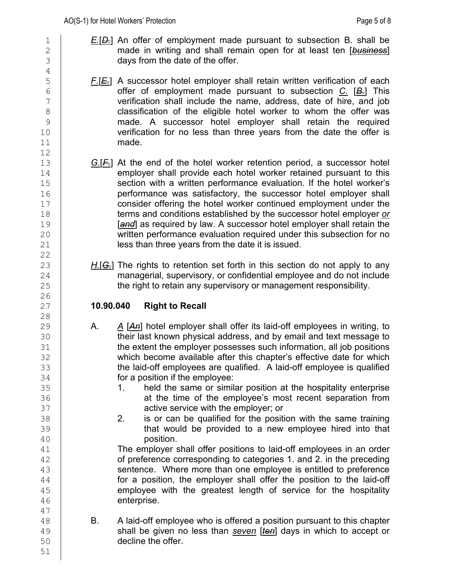- 1 **E.**[D.] An offer of employment made pursuant to subsection B. shall be <br>2 **E.** The made in writing and shall remain open for at least ten [business] 2 made in writing and shall remain open for at least ten [**business**]<br>3 days from the date of the offer.
- 5 **F.**[E.] A successor hotel employer shall retain written verification of each<br>6 **F.** This offer of employment made pursuant to subsection C. [B.] This 6 offer of employment made pursuant to subsection *C.* [*B.*] This 7 verification shall include the name, address, date of hire, and job<br>8 classification of the eligible hotel worker to whom the offer was 8 classification of the eligible hotel worker to whom the offer was<br>9 made. A successor hotel employer shall retain the required 9 made. A successor hotel employer shall retain the required<br>10 **the rest of the verification for no less than three vears from the date the offer is**  $\begin{array}{c|c} 10 & \text{verification for no less than three years from the date the offer is} \\ 11 & \text{made.} \end{array}$ made.
- 13 **G.**[*F.*] At the end of the hotel worker retention period, a successor hotel use mplover shall provide each hotel worker retained pursuant to this 14 employer shall provide each hotel worker retained pursuant to this<br>15 section with a written performance evaluation. If the hotel worker's 15 section with a written performance evaluation. If the hotel worker's<br>16 section ance was satisfactory, the successor hotel emplover shall 16 performance was satisfactory, the successor hotel employer shall<br>17 consider offering the hotel worker continued employment under the 17 consider offering the hotel worker continued employment under the<br>18 **terms and conditions established by the successor hotel employer or** 18 terms and conditions established by the successor hotel employer <u>or</u><br>19 **Tanel** as required by law. A successor hotel employer shall retain the 19 **[and]** as required by law. A successor hotel employer shall retain the<br>20 **written performance evaluation required under this subsection for no** 20 written performance evaluation required under this subsection for no<br>21 **Souties** less than three years from the date it is issued. less than three years from the date it is issued.
- H.[G.] The rights to retention set forth in this section do not apply to any 24 managerial, supervisory, or confidential employee and do not include<br>25 the right to retain any supervisory or management responsibility. the right to retain any supervisory or management responsibility.

# 27 **10.90.040 Right to Recall**

- 29 A. *A* [*An*] hotel employer shall offer its laid-off employees in writing, to 30 their last known physical address, and by email and text message to<br>31 **the extent the employer possesses such information, all job positions** the extent the employer possesses such information, all job positions 32 which become available after this chapter's effective date for which<br>33 the laid-off employees are qualified. A laid-off employee is qualified the laid-off employees are qualified. A laid-off employee is qualified 34 **for a position if the employee:**<br>35 **1.** held the same or similary
- 35 1. held the same or similar position at the hospitality enterprise<br>36 **1. And it as a statute of the employee's most recent separation from** at the time of the employee's most recent separation from 37 active service with the employer; or active service with the employer; or an extra 38
- 38 2. is or can be qualified for the position with the same training 39 **that would be provided to a new employee hired into that**<br>40

40 position.<br>41 **The employer s** The employer shall offer positions to laid-off employees in an order 42 of preference corresponding to categories 1. and 2. in the preceding<br>43 sentence. Where more than one emplovee is entitled to preference sentence. Where more than one employee is entitled to preference 44 for a position, the employer shall offer the position to the laid-off<br>45 **for a superfect of the service for the hospitality**  $\frac{45}{46}$  employee with the greatest length of service for the hospitality<br>46 enterprise.

 $\begin{array}{c|c} 48 & \text{B.} & \text{A laid-off employee who is offered a position pursuit to this chapter} \\ \hline 49 & \text{shall be given no less than seven [ten] days in which to accept or} \end{array}$ 49 shall be given no less than *seven* [*ten*] days in which to accept or decline the offer.

47

51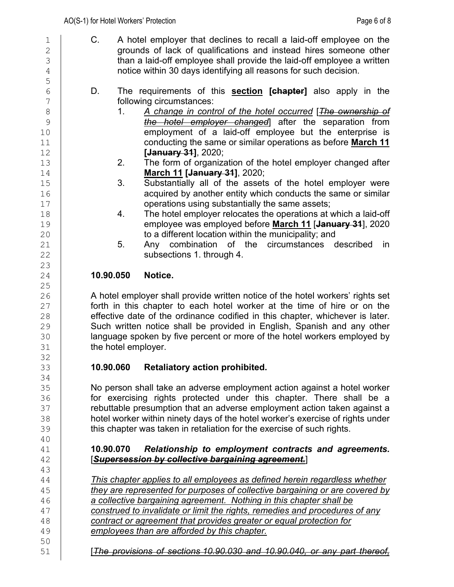5 23  $\frac{25}{26}$ 32<br>33 34<br>35 40 43

50<br>51

1 C. A hotel employer that declines to recall a laid-off employee on the<br>2 **C.** Correspondent and instead hires someone other 2 grounds of lack of qualifications and instead hires someone other<br>3 than a laid-off emplovee shall provide the laid-off emplovee a written than a laid-off employee shall provide the laid-off employee a written 4 notice within 30 days identifying all reasons for such decision.

- 6 D. The requirements of this **section [chapter]** also apply in the 7 following circumstances:<br>8 1. A change in conti
- 8 1. *A change in control of the hotel occurred* [*The ownership of*  9 *the hotel employer changed*] after the separation from 10 employment of a laid-off employee but the enterprise is<br>11 conducting the same or similar operations as before **March 11** 11 conducting the same or similar operations as before **March 11** 12 **[January 31]**, 2020;
- 13 2. The form of organization of the hotel employer changed after<br>14 **March 11 [January 31**], 2020; 14 **March 11 [January 31]**, 2020;
- 15 3. Substantially all of the assets of the hotel employer were<br>16 16 16 acquired by another entity which conducts the same or similar<br>17 operations using substantially the same assets; 17 operations using substantially the same assets;
- 18 4. The hotel employer relocates the operations at which a laid-off<br>19 employee was employed before **March 11 [<del>January 31</del>]**, 2020 19 employee was employed before **March 11** [**January 31**], 2020 20 to a different location within the municipality; and
- Any combination of the circumstances described in 22 **Subsections 1. through 4.**

# 24 **10.90.050 Notice.**

26 A hotel employer shall provide written notice of the hotel workers' rights set<br>27 **A contract of the standard in the set of the time of hire or on the**  $27$  forth in this chapter to each hotel worker at the time of hire or on the  $28$  effective date of the ordinance codified in this chapter. whichever is later. 28 effective date of the ordinance codified in this chapter, whichever is later.<br>29 Such written notice shall be provided in English, Spanish and any other 29 Such written notice shall be provided in English, Spanish and any other<br>30 **I** language spoken by five percent or more of the hotel workers emploved by 30 language spoken by five percent or more of the hotel workers employed by <br>31 lattice the hotel employer. the hotel employer.

# 33 **10.90.060 Retaliatory action prohibited.**

35 No person shall take an adverse employment action against a hotel worker<br>36 **Final and Final is an article in the set of the set of the set of the set of the set of the set of the set** 36 **for exercising rights protected under this chapter. There shall be a**<br>37 **for the metable of the sumption that an adverse emplovment action taken against a** 37 **rebuttable presumption that an adverse employment action taken against a**<br>38 **hotel worker within ninety davs of the hotel worker's exercise of rights under** 38 hotel worker within ninety days of the hotel worker's exercise of rights under<br>39 this chapter was taken in retaliation for the exercise of such rights. this chapter was taken in retaliation for the exercise of such rights.

# 41 **10.90.070** *Relationship to employment contracts and agreements.* 42 [*Supersession by collective bargaining agreement.*]

 *This chapter applies to all employees as defined herein regardless whether*  **they are represented for purposes of collective bargaining or are covered by <br>46 <b>a collective bargaining agreement. Nothing in this chapter shall be**  *a collective bargaining agreement. Nothing in this chapter shall be construed to invalidate or limit the rights, remedies and procedures of any*  **contract or agreement that provides greater or equal protection for** <br>49 *employees than are afforded by this chapter.* employees than are afforded by this chapter.

51 [*The provisions of sections 10.90.030 and 10.90.040, or any part thereof,*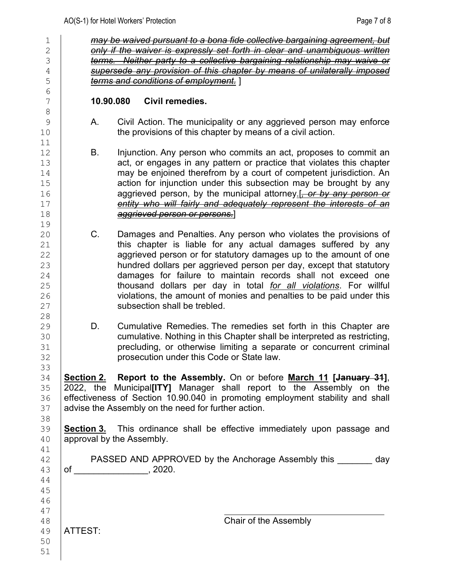| $1\,$                                              |           | may be waived pursuant to a bona fide collective bargaining agreement, but                                                                                                                                                                                                                                                                                                                                                                                                                                                 |
|----------------------------------------------------|-----------|----------------------------------------------------------------------------------------------------------------------------------------------------------------------------------------------------------------------------------------------------------------------------------------------------------------------------------------------------------------------------------------------------------------------------------------------------------------------------------------------------------------------------|
| $\overline{2}$<br>3                                |           | only if the waiver is expressly set forth in clear and unambiguous written<br>terms. Neither party to a collective bargaining relationship may waive or                                                                                                                                                                                                                                                                                                                                                                    |
| 4                                                  |           | supersede any provision of this chapter by means of unilaterally imposed                                                                                                                                                                                                                                                                                                                                                                                                                                                   |
| 5                                                  |           | terms and conditions of employment.                                                                                                                                                                                                                                                                                                                                                                                                                                                                                        |
| 6                                                  |           |                                                                                                                                                                                                                                                                                                                                                                                                                                                                                                                            |
| 7<br>$\,8\,$                                       | 10.90.080 | Civil remedies.                                                                                                                                                                                                                                                                                                                                                                                                                                                                                                            |
| $\mathcal{G}$<br>10<br>11                          | Α.        | Civil Action. The municipality or any aggrieved person may enforce<br>the provisions of this chapter by means of a civil action.                                                                                                                                                                                                                                                                                                                                                                                           |
| 12<br>13<br>14<br>15<br>16<br>17<br>18<br>19       | В.        | Injunction. Any person who commits an act, proposes to commit an<br>act, or engages in any pattern or practice that violates this chapter<br>may be enjoined therefrom by a court of competent jurisdiction. An<br>action for injunction under this subsection may be brought by any<br>aggrieved person, by the municipal attorney.[ <i>, or by any person or</i><br>entity who will fairly and adequately represent the interests of an<br><del>aggrieved person or persons.</del> ]                                     |
| 20<br>21<br>22<br>23<br>24<br>25<br>26<br>27<br>28 | C.        | Damages and Penalties. Any person who violates the provisions of<br>this chapter is liable for any actual damages suffered by any<br>aggrieved person or for statutory damages up to the amount of one<br>hundred dollars per aggrieved person per day, except that statutory<br>damages for failure to maintain records shall not exceed one<br>thousand dollars per day in total for all violations. For willful<br>violations, the amount of monies and penalties to be paid under this<br>subsection shall be trebled. |
| 29<br>30<br>31<br>32<br>33                         | D.        | Cumulative Remedies. The remedies set forth in this Chapter are<br>cumulative. Nothing in this Chapter shall be interpreted as restricting,<br>precluding, or otherwise limiting a separate or concurrent criminal<br>prosecution under this Code or State law.                                                                                                                                                                                                                                                            |
| 34<br>35<br>36<br>37<br>38                         |           | <b>Section 2.</b> Report to the Assembly. On or before March 11 [January 31],<br>2022, the Municipal[ITY] Manager shall report to the Assembly on the<br>effectiveness of Section 10.90.040 in promoting employment stability and shall<br>advise the Assembly on the need for further action.                                                                                                                                                                                                                             |
| 39<br>40<br>41                                     |           | <b>Section 3.</b> This ordinance shall be effective immediately upon passage and<br>approval by the Assembly.                                                                                                                                                                                                                                                                                                                                                                                                              |
| 42<br>43<br>44<br>45<br>46                         |           | PASSED AND APPROVED by the Anchorage Assembly this _______ day                                                                                                                                                                                                                                                                                                                                                                                                                                                             |
| 47<br>48<br>49<br>50<br>51                         | ATTEST:   | Chair of the Assembly                                                                                                                                                                                                                                                                                                                                                                                                                                                                                                      |